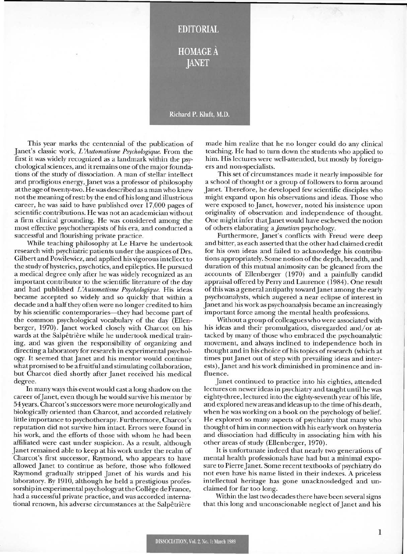## **EDITORIAL HOMAGE A JANET**

## Richard P. Kluft, M.D.

This year marks the centennial of the publication of Janet's classic work, *L 'Automatisme Psychologique.* From the first it was widely recognized as a landmark within the psychological sciences, and it remains one of the major foundations of the study of dissociation. A man of stellar intellect and prodigious energy, Janet was a professor of philosophy at the age of twenty-two. He was described as a man who knew not the meaning of rest: by the end of his long and illustrious career, he was said to have published over 17,000 pages of scientific contributions. He was not an academician without a firm clinical grounding. He was considered among the most effective psychotherapists of his era, and conducted a successful and flourishing private practice.

While teaching philosophy at Le Harve he undertook research with psychiatric patients under the auspices of Drs. Gilbert and Powilewicz, and applied his vigorous intellect to the study of hysterics, psychotics, and epileptics. He pursued a medical degree only after he was widely recognized as an important contributor to the scientific literature of the day and had published *L 'Automatisme Psychologique.* His ideas became accepted so widely and so quickly that within a decade and a half they often were no longer credited to him by his scientific contemporaries—they had become part of the common psychological vocabulary of the day (Ellenberger, 1970). Janet worked closely with Charcot on his wards at the Salpêtrière while he undertook medical training, and was given the responsibility of organizing and directing a laboratory for research in experimental psychology. It seemed that Janet and his mentor would continue what promised to be a fruitful and stimulating collaboration, but Charcot died shortly after Janet received his medical degree.

In many ways this event would cast a long shadow on the career of Janet, even though he would survive his mentor by 54 years. Charcot's successors were more neurologically and biologically oriented than Charcot, and accorded relatively little importance to psychotherapy. Furthermore, Charcot's reputation did not survive him intact. Errors were found in his work, and the efforts of those with whom he had been affiliated were cast under suspicion. As a result, although Janet remained able to keep at his work under the realm of Charcot's first successor, Raymond, who appears to have allowed Janet to continue as before, those who followed Raymond gradually stripped Janet of his wards and his laboratory. By 1910, although he held a prestigious professorship in experimental psychology at the Collége de France, had a successful private practice, and was accorded international renown, his adverse circumstances at the Salpêtrière

made him realize that he no longer could do any clinical teaching. He had to turn down the students who applied to him. His lectures were well-attended, but mostly by foreigners and non-specialists.

This set of circumstances made it nearly impossible for a school of thought or a group of followers to form around Janet. Therefore, he developed few scientific disciples who might expand upon his observations and ideas. Those who were exposed to Janet, however, noted his insistence upon originality of observation and independence of thought. One might infer that Janet would have eschewed the notion of others elaborating a *janetian* psychology.

Furthermore, Janet's conflicts with Freud were deep and bitter, as each asserted that the other had claimed credit for his own ideas and failed to acknowledge his contributions appropriately. Some notion of the depth, breadth, and duration of this mutual animosity can be gleaned from the accounts of Ellenberger (1970) and a painfully candid appraisal offered by Perry and Laurence (1984). One result of this was a general antipathy toward Janet among the early psychoanalysts, which augered a near eclipse of interest in Janet and his work as psychoanalysis became an increasingly important force among the mental health professions.

Without a group of colleagues who were associated with his ideas and their promulgation, disregarded and/or attacked by many of those who embraced the psychoanalytic movement, and always inclined to independence both in thought and in his choice of his topics of research (which at times put Janet out of step with prevailing ideas and interests), Janet and his work diminished in prominence and influence.

Janet continued to practice into his eighties, attended lectures on newer ideas in psychiatry and taught until he was eighty-three, lectured into the eighty-seventh year of his life, and explored new areas and ideas up to the time of his death, when he was working on a book on the psychology of belief. He explored so many aspects of psychiatry that many who thought of him in connection with his early work on hysteria and dissociation had difficulty in associating him with his other areas of study (Ellenberger, 1970).

It is unfortunate indeed that nearly two generations of mental health professionals have had but a minimal exposure to Pierre Janet. Some recent textbooks of psychiatry do not even have his name listed in their indexes. A priceless intellectual heritage has gone unacknowledged and unclaimed for far too long.

Within the last two decades there have been several signs that this long and unconscionable neglect of Janet and his